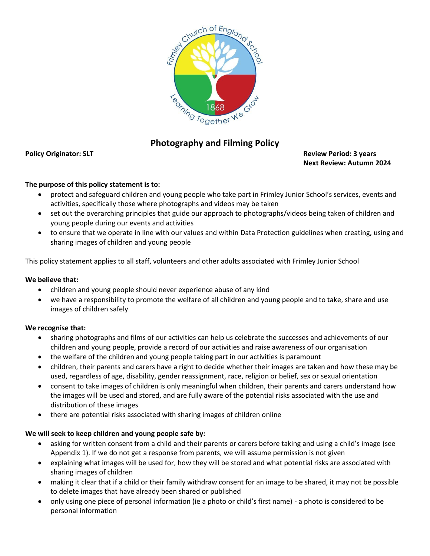

# **Photography and Filming Policy**

#### **Policy Originator: SLT Review Period: 3 years Next Review: Autumn 2024**

## **The purpose of this policy statement is to:**

- protect and safeguard children and young people who take part in Frimley Junior School's services, events and activities, specifically those where photographs and videos may be taken
- set out the overarching principles that guide our approach to photographs/videos being taken of children and young people during our events and activities
- to ensure that we operate in line with our values and within Data Protection guidelines when creating, using and sharing images of children and young people

This policy statement applies to all staff, volunteers and other adults associated with Frimley Junior School

### **We believe that:**

- children and young people should never experience abuse of any kind
- we have a responsibility to promote the welfare of all children and young people and to take, share and use images of children safely

## **We recognise that:**

- sharing photographs and films of our activities can help us celebrate the successes and achievements of our children and young people, provide a record of our activities and raise awareness of our organisation
- the welfare of the children and young people taking part in our activities is paramount
- children, their parents and carers have a right to decide whether their images are taken and how these may be used, regardless of age, disability, gender reassignment, race, religion or belief, sex or sexual orientation
- consent to take images of children is only meaningful when children, their parents and carers understand how the images will be used and stored, and are fully aware of the potential risks associated with the use and distribution of these images
- there are potential risks associated with sharing images of children online

## **We will seek to keep children and young people safe by:**

- asking for written consent from a child and their parents or carers before taking and using a child's image (see Appendix 1). If we do not get a response from parents, we will assume permission is not given
- explaining what images will be used for, how they will be stored and what potential risks are associated with sharing images of children
- making it clear that if a child or their family withdraw consent for an image to be shared, it may not be possible to delete images that have already been shared or published
- only using one piece of personal information (ie a photo or child's first name) a photo is considered to be personal information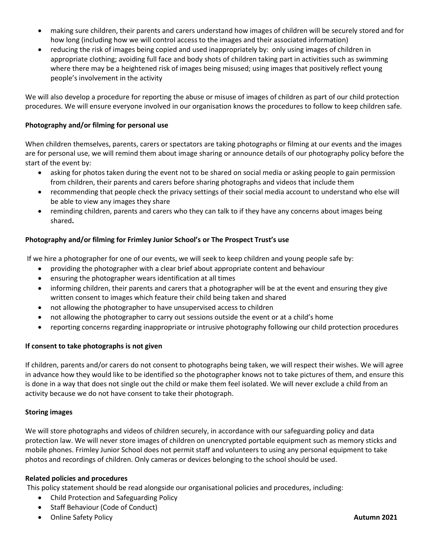- making sure children, their parents and carers understand how images of children will be securely stored and for how long (including how we will control access to the images and their associated information)
- reducing the risk of images being copied and used inappropriately by: only using images of children in appropriate clothing; avoiding full face and body shots of children taking part in activities such as swimming where there may be a heightened risk of images being misused; using images that positively reflect young people's involvement in the activity

We will also develop a procedure for reporting the abuse or misuse of images of children as part of our child protection procedures. We will ensure everyone involved in our organisation knows the procedures to follow to keep children safe.

### **Photography and/or filming for personal use**

When children themselves, parents, carers or spectators are taking photographs or filming at our events and the images are for personal use, we will remind them about image sharing or announce details of our photography policy before the start of the event by:

- asking for photos taken during the event not to be shared on social media or asking people to gain permission from children, their parents and carers before sharing photographs and videos that include them
- recommending that people check the privacy settings of their social media account to understand who else will be able to view any images they share
- reminding children, parents and carers who they can talk to if they have any concerns about images being shared**.**

## **Photography and/or filming for Frimley Junior School's or The Prospect Trust's use**

If we hire a photographer for one of our events, we will seek to keep children and young people safe by:

- providing the photographer with a clear brief about appropriate content and behaviour
- ensuring the photographer wears identification at all times
- informing children, their parents and carers that a photographer will be at the event and ensuring they give written consent to images which feature their child being taken and shared
- not allowing the photographer to have unsupervised access to children
- not allowing the photographer to carry out sessions outside the event or at a child's home
- reporting concerns regarding inappropriate or intrusive photography following our child protection procedures

#### **If consent to take photographs is not given**

If children, parents and/or carers do not consent to photographs being taken, we will respect their wishes. We will agree in advance how they would like to be identified so the photographer knows not to take pictures of them, and ensure this is done in a way that does not single out the child or make them feel isolated. We will never exclude a child from an activity because we do not have consent to take their photograph.

#### **Storing images**

We will store photographs and videos of children securely, in accordance with our safeguarding policy and data protection law. We will never store images of children on unencrypted portable equipment such as memory sticks and mobile phones. Frimley Junior School does not permit staff and volunteers to using any personal equipment to take photos and recordings of children. Only cameras or devices belonging to the school should be used.

#### **Related policies and procedures**

This policy statement should be read alongside our organisational policies and procedures, including:

- Child Protection and Safeguarding Policy
- Staff Behaviour (Code of Conduct)
- Online Safety Policy **Autumn 2021**